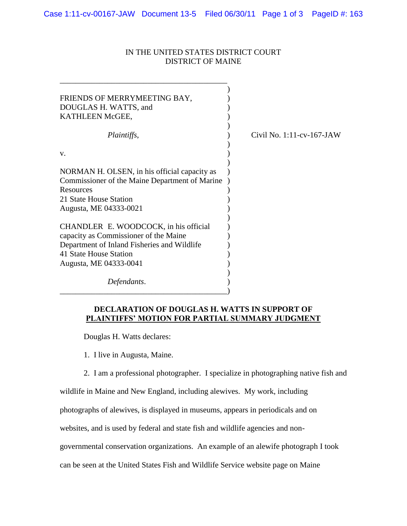## IN THE UNITED STATES DISTRICT COURT DISTRICT OF MAINE

| FRIENDS OF MERRYMEETING BAY,<br>DOUGLAS H. WATTS, and<br>KATHLEEN McGEE,                                    |                              |
|-------------------------------------------------------------------------------------------------------------|------------------------------|
| <i>Plaintiffs,</i>                                                                                          | Civil No. $1:11$ -cv-167-JAW |
| V.                                                                                                          |                              |
| NORMAN H. OLSEN, in his official capacity as<br>Commissioner of the Maine Department of Marine<br>Resources |                              |
| 21 State House Station<br>Augusta, ME 04333-0021                                                            |                              |
| CHANDLER E. WOODCOCK, in his official<br>capacity as Commissioner of the Maine                              |                              |
| Department of Inland Fisheries and Wildlife<br>41 State House Station                                       |                              |
| Augusta, ME 04333-0041                                                                                      |                              |
| Defendants.                                                                                                 |                              |

## **DECLARATION OF DOUGLAS H. WATTS IN SUPPORT OF PLAINTIFFS' MOTION FOR PARTIAL SUMMARY JUDGMENT**

Douglas H. Watts declares:

- 1. I live in Augusta, Maine.
- 2. I am a professional photographer. I specialize in photographing native fish and

wildlife in Maine and New England, including alewives. My work, including

photographs of alewives, is displayed in museums, appears in periodicals and on

websites, and is used by federal and state fish and wildlife agencies and non-

governmental conservation organizations. An example of an alewife photograph I took

can be seen at the United States Fish and Wildlife Service website page on Maine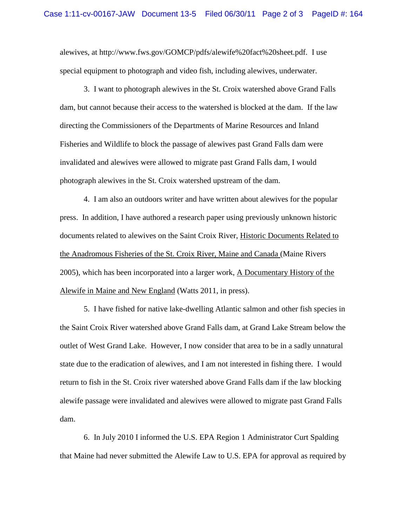alewives, at http://www.fws.gov/GOMCP/pdfs/alewife%20fact%20sheet.pdf. I use special equipment to photograph and video fish, including alewives, underwater.

3. I want to photograph alewives in the St. Croix watershed above Grand Falls dam, but cannot because their access to the watershed is blocked at the dam. If the law directing the Commissioners of the Departments of Marine Resources and Inland Fisheries and Wildlife to block the passage of alewives past Grand Falls dam were invalidated and alewives were allowed to migrate past Grand Falls dam, I would photograph alewives in the St. Croix watershed upstream of the dam.

4. I am also an outdoors writer and have written about alewives for the popular press. In addition, I have authored a research paper using previously unknown historic documents related to alewives on the Saint Croix River, Historic Documents Related to the Anadromous Fisheries of the St. Croix River, Maine and Canada (Maine Rivers 2005), which has been incorporated into a larger work, A Documentary History of the Alewife in Maine and New England (Watts 2011, in press).

5. I have fished for native lake-dwelling Atlantic salmon and other fish species in the Saint Croix River watershed above Grand Falls dam, at Grand Lake Stream below the outlet of West Grand Lake. However, I now consider that area to be in a sadly unnatural state due to the eradication of alewives, and I am not interested in fishing there. I would return to fish in the St. Croix river watershed above Grand Falls dam if the law blocking alewife passage were invalidated and alewives were allowed to migrate past Grand Falls dam.

6. In July 2010 I informed the U.S. EPA Region 1 Administrator Curt Spalding that Maine had never submitted the Alewife Law to U.S. EPA for approval as required by